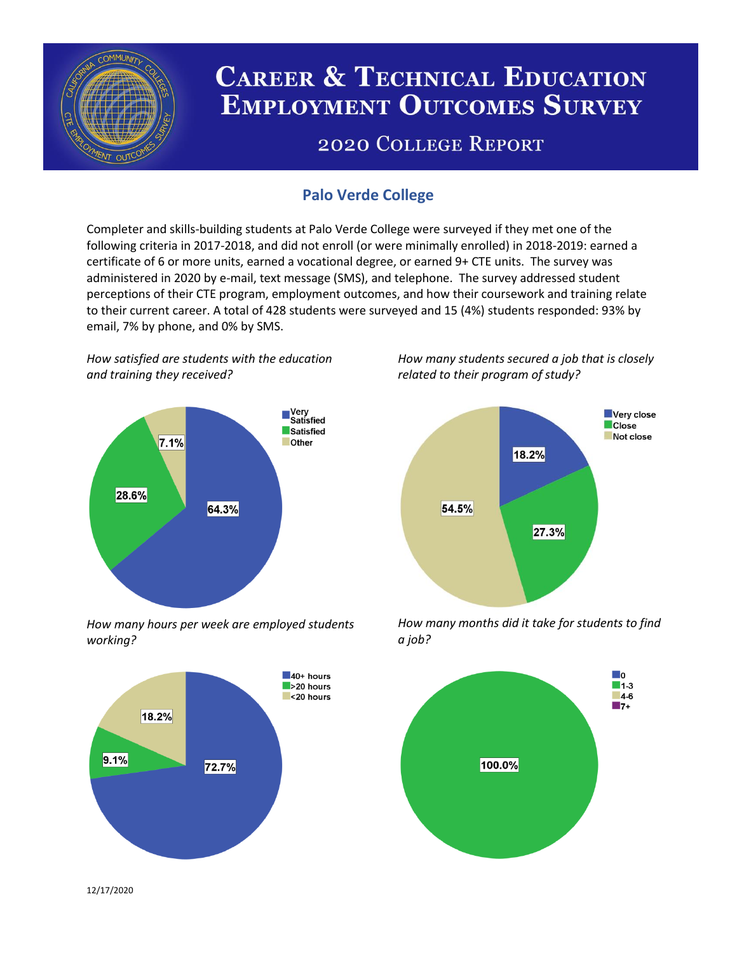

# **CAREER & TECHNICAL EDUCATION EMPLOYMENT OUTCOMES SURVEY**

## **2020 COLLEGE REPORT**

### **Palo Verde College**

Completer and skills-building students at Palo Verde College were surveyed if they met one of the following criteria in 2017-2018, and did not enroll (or were minimally enrolled) in 2018-2019: earned a certificate of 6 or more units, earned a vocational degree, or earned 9+ CTE units. The survey was administered in 2020 by e-mail, text message (SMS), and telephone. The survey addressed student perceptions of their CTE program, employment outcomes, and how their coursework and training relate to their current career. A total of 428 students were surveyed and 15 (4%) students responded: 93% by email, 7% by phone, and 0% by SMS.

*How satisfied are students with the education and training they received?*



*How many hours per week are employed students working?*



*How many students secured a job that is closely related to their program of study?*



*How many months did it take for students to find a job?*